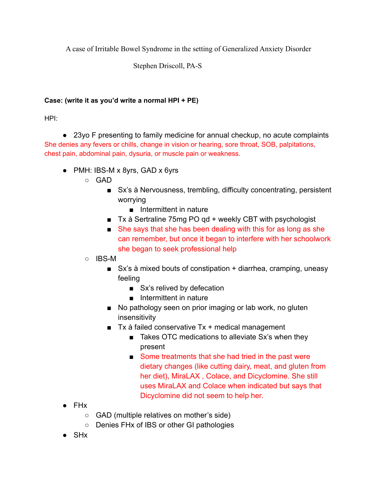A case of Irritable Bowel Syndrome in the setting of Generalized Anxiety Disorder

Stephen Driscoll, PA-S

## **Case: (write it as you'd write a normal HPI + PE)**

HPI:

● 23yo F presenting to family medicine for annual checkup, no acute complaints She denies any fevers or chills, change in vision or hearing, sore throat, SOB, palpitations, chest pain, abdominal pain, dysuria, or muscle pain or weakness.

- PMH: IBS-M x 8yrs, GAD x 6yrs
	- GAD
		- Sx's à Nervousness, trembling, difficulty concentrating, persistent worrying
			- Intermittent in nature
		- Tx à Sertraline 75mg PO gd + weekly CBT with psychologist
		- She says that she has been dealing with this for as long as she can remember, but once it began to interfere with her schoolwork she began to seek professional help
	- IBS-M
		- Sx's à mixed bouts of constipation + diarrhea, cramping, uneasy feeling
			- Sx's relived by defecation
			- Intermittent in nature
		- No pathology seen on prior imaging or lab work, no gluten insensitivity
		- $\blacksquare$  Tx à failed conservative Tx + medical management
			- Takes OTC medications to alleviate Sx's when they present
			- Some treatments that she had tried in the past were dietary changes (like cutting dairy, meat, and gluten from her diet), MiraLAX , Colace, and Dicyclomine. She still uses MiraLAX and Colace when indicated but says that Dicyclomine did not seem to help her.
- FHx
	- GAD (multiple relatives on mother's side)
	- Denies FHx of IBS or other GI pathologies
- **SH<sub>x</sub>**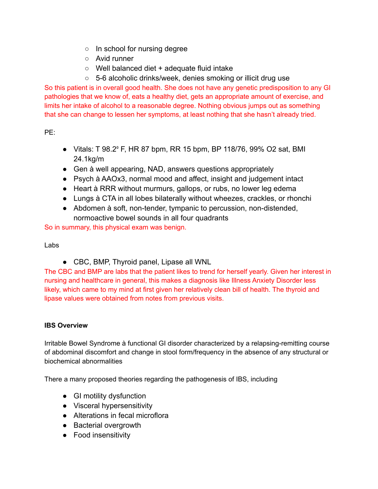- In school for nursing degree
- Avid runner
- Well balanced diet + adequate fluid intake
- 5-6 alcoholic drinks/week, denies smoking or illicit drug use

So this patient is in overall good health. She does not have any genetic predisposition to any GI pathologies that we know of, eats a healthy diet, gets an appropriate amount of exercise, and limits her intake of alcohol to a reasonable degree. Nothing obvious jumps out as something that she can change to lessen her symptoms, at least nothing that she hasn't already tried.

PE:

- Vitals: T 98.2⁰ F, HR 87 bpm, RR 15 bpm, BP 118/76, 99% O2 sat, BMI 24.1kg/m
- Gen à well appearing, NAD, answers questions appropriately
- Psych à AAOx3, normal mood and affect, insight and judgement intact
- Heart à RRR without murmurs, gallops, or rubs, no lower leg edema
- Lungs à CTA in all lobes bilaterally without wheezes, crackles, or rhonchi
- Abdomen à soft, non-tender, tympanic to percussion, non-distended, normoactive bowel sounds in all four quadrants

So in summary, this physical exam was benign.

#### Labs

● CBC, BMP, Thyroid panel, Lipase all WNL

The CBC and BMP are labs that the patient likes to trend for herself yearly. Given her interest in nursing and healthcare in general, this makes a diagnosis like Illness Anxiety Disorder less likely, which came to my mind at first given her relatively clean bill of health. The thyroid and lipase values were obtained from notes from previous visits.

#### **IBS Overview**

Irritable Bowel Syndrome à functional GI disorder characterized by a relapsing-remitting course of abdominal discomfort and change in stool form/frequency in the absence of any structural or biochemical abnormalities

There a many proposed theories regarding the pathogenesis of IBS, including

- GI motility dysfunction
- Visceral hypersensitivity
- Alterations in fecal microflora
- Bacterial overgrowth
- Food insensitivity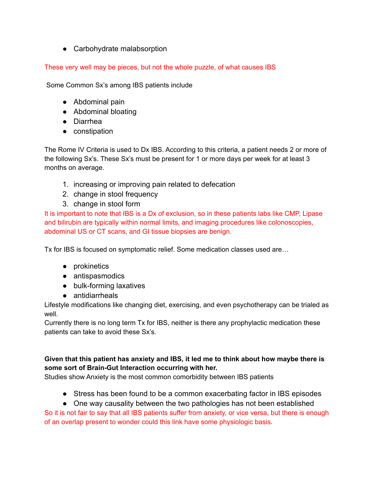• Carbohydrate malabsorption

These very well may be pieces, but not the whole puzzle, of what causes IBS

Some Common Sx's among IBS patients include

- Abdominal pain
- Abdominal bloating
- Diarrhea
- constipation

The Rome IV Criteria is used to Dx IBS. According to this criteria, a patient needs 2 or more of the following Sx's. These Sx's must be present for 1 or more days per week for at least 3 months on average.

- 1. increasing or improving pain related to defecation
- 2. change in stool frequency
- 3. change in stool form

It is important to note that IBS is a Dx of exclusion, so in these patients labs like CMP, Lipase and bilirubin are typically within normal limits, and imaging procedures like colonoscopies, abdominal US or CT scans, and GI tissue biopsies are benign.

Tx for IBS is focused on symptomatic relief. Some medication classes used are…

- prokinetics
- antispasmodics
- bulk-forming laxatives
- antidiarrheals

Lifestyle modifications like changing diet, exercising, and even psychotherapy can be trialed as well.

Currently there is no long term Tx for IBS, neither is there any prophylactic medication these patients can take to avoid these Sx's.

## **Given that this patient has anxiety and IBS, it led me to think about how maybe there is some sort of Brain-Gut Interaction occurring with her.**

Studies show Anxiety is the most common comorbidity between IBS patients

- Stress has been found to be a common exacerbating factor in IBS episodes
- One way causality between the two pathologies has not been established

So it is not fair to say that all IBS patients suffer from anxiety, or vice versa, but there is enough of an overlap present to wonder could this link have some physiologic basis.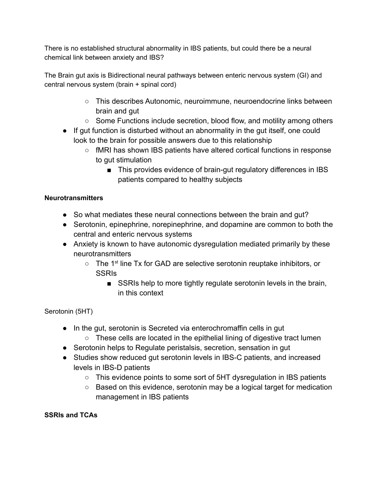There is no established structural abnormality in IBS patients, but could there be a neural chemical link between anxiety and IBS?

The Brain gut axis is Bidirectional neural pathways between enteric nervous system (GI) and central nervous system (brain + spinal cord)

- This describes Autonomic, neuroimmune, neuroendocrine links between brain and gut
- $\circ$  Some Functions include secretion, blood flow, and motility among others
- If gut function is disturbed without an abnormality in the gut itself, one could look to the brain for possible answers due to this relationship
	- fMRI has shown IBS patients have altered cortical functions in response to gut stimulation
		- This provides evidence of brain-gut regulatory differences in IBS patients compared to healthy subjects

# **Neurotransmitters**

- So what mediates these neural connections between the brain and gut?
- Serotonin, epinephrine, norepinephrine, and dopamine are common to both the central and enteric nervous systems
- Anxiety is known to have autonomic dysregulation mediated primarily by these neurotransmitters
	- The 1<sup>st</sup> line Tx for GAD are selective serotonin reuptake inhibitors, or **SSRIS** 
		- SSRIs help to more tightly regulate serotonin levels in the brain, in this context

## Serotonin (5HT)

- In the gut, serotonin is Secreted via enterochromaffin cells in gut
	- $\circ$  These cells are located in the epithelial lining of digestive tract lumen
- Serotonin helps to Regulate peristalsis, secretion, sensation in gut
- Studies show reduced gut serotonin levels in IBS-C patients, and increased levels in IBS-D patients
	- This evidence points to some sort of 5HT dysregulation in IBS patients
	- Based on this evidence, serotonin may be a logical target for medication management in IBS patients

## **SSRIs and TCAs**